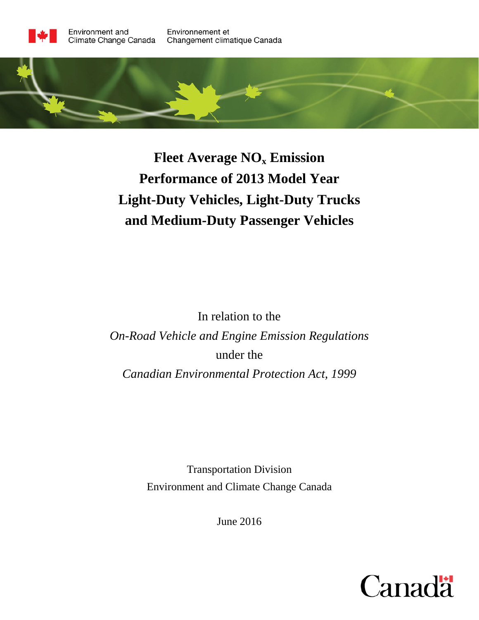

# **Fleet Average NOx Emission Performance of 2013 Model Year Light-Duty Vehicles, Light-Duty Trucks and Medium-Duty Passenger Vehicles**

In relation to the *On-Road Vehicle and Engine Emission Regulations* under the *Canadian Environmental Protection Act, 1999*

> Transportation Division Environment and Climate Change Canada

> > June 2016

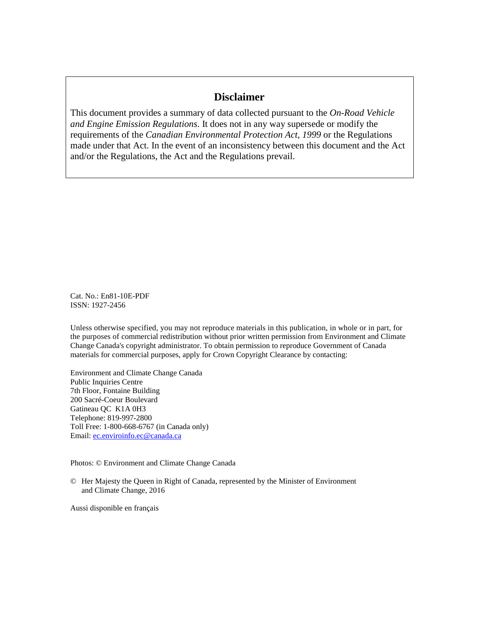## **Disclaimer**

This document provides a summary of data collected pursuant to the *On-Road Vehicle and Engine Emission Regulations*. It does not in any way supersede or modify the requirements of the *Canadian Environmental Protection Act, 1999* or the Regulations made under that Act. In the event of an inconsistency between this document and the Act and/or the Regulations, the Act and the Regulations prevail.

Cat. No.: En81-10E-PDF ISSN: 1927-2456

Unless otherwise specified, you may not reproduce materials in this publication, in whole or in part, for the purposes of commercial redistribution without prior written permission from Environment and Climate Change Canada's copyright administrator. To obtain permission to reproduce Government of Canada materials for commercial purposes, apply for Crown Copyright Clearance by contacting:

Environment and Climate Change Canada Public Inquiries Centre 7th Floor, Fontaine Building 200 Sacré-Coeur Boulevard Gatineau QC K1A 0H3 Telephone: 819-997-2800 Toll Free: 1-800-668-6767 (in Canada only) Email: [ec.enviroinfo.ec@canada.ca](mailto:ec.enviroinfo.ec@canada.ca)

Photos: © Environment and Climate Change Canada

© Her Majesty the Queen in Right of Canada, represented by the Minister of Environment and Climate Change, 2016

Aussi disponible en français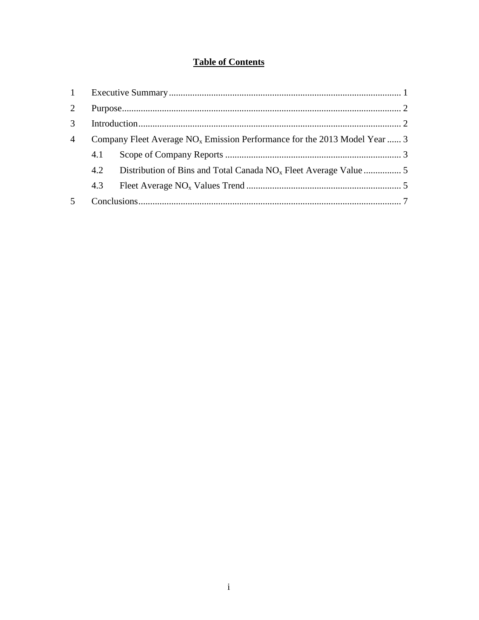## **Table of Contents**

| $1 -$                       |                                                                             |  |  |
|-----------------------------|-----------------------------------------------------------------------------|--|--|
| $\mathcal{D}_{\mathcal{L}}$ |                                                                             |  |  |
| $\mathcal{R}$               |                                                                             |  |  |
| $\overline{4}$              | Company Fleet Average $NOx$ Emission Performance for the 2013 Model Year  3 |  |  |
|                             | 4.1                                                                         |  |  |
|                             | 4.2                                                                         |  |  |
|                             | 4.3                                                                         |  |  |
|                             |                                                                             |  |  |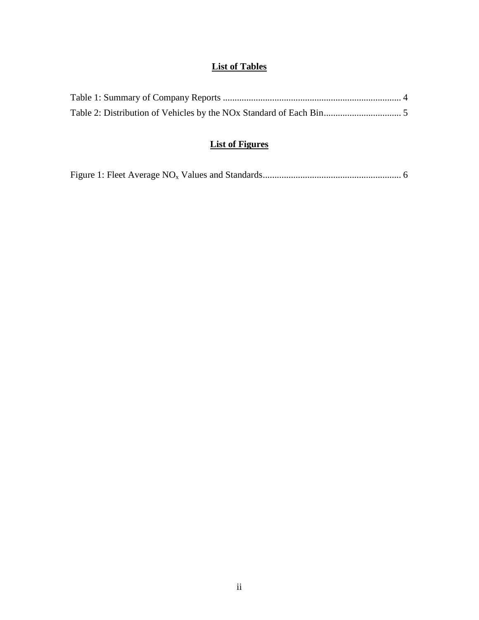# **List of Tables**

# **List of Figures**

|--|--|--|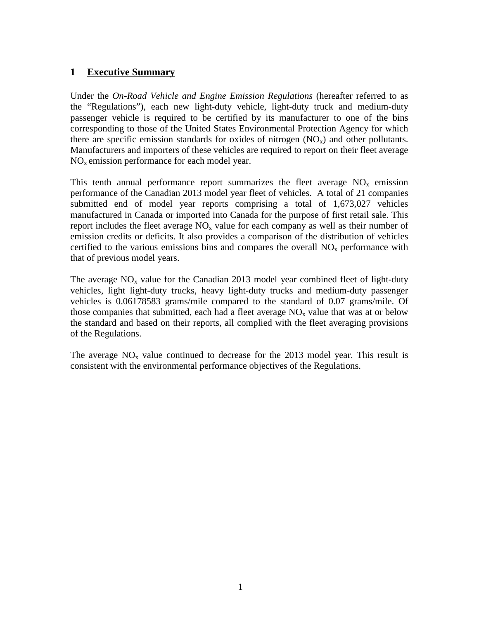#### <span id="page-4-0"></span>**1 Executive Summary**

Under the *On-Road Vehicle and Engine Emission Regulations* (hereafter referred to as the "Regulations"), each new light-duty vehicle, light-duty truck and medium-duty passenger vehicle is required to be certified by its manufacturer to one of the bins corresponding to those of the United States Environmental Protection Agency for which there are specific emission standards for oxides of nitrogen  $(NO<sub>x</sub>)$  and other pollutants. Manufacturers and importers of these vehicles are required to report on their fleet average  $NO<sub>x</sub>$  emission performance for each model year.

This tenth annual performance report summarizes the fleet average  $NO<sub>x</sub>$  emission performance of the Canadian 2013 model year fleet of vehicles. A total of 21 companies submitted end of model year reports comprising a total of 1,673,027 vehicles manufactured in Canada or imported into Canada for the purpose of first retail sale. This report includes the fleet average  $NO<sub>x</sub>$  value for each company as well as their number of emission credits or deficits. It also provides a comparison of the distribution of vehicles certified to the various emissions bins and compares the overall  $NO<sub>x</sub>$  performance with that of previous model years.

The average  $NO<sub>x</sub>$  value for the Canadian 2013 model year combined fleet of light-duty vehicles, light light-duty trucks, heavy light-duty trucks and medium-duty passenger vehicles is 0.06178583 grams/mile compared to the standard of 0.07 grams/mile. Of those companies that submitted, each had a fleet average  $NO<sub>x</sub>$  value that was at or below the standard and based on their reports, all complied with the fleet averaging provisions of the Regulations.

The average  $NO<sub>x</sub>$  value continued to decrease for the 2013 model year. This result is consistent with the environmental performance objectives of the Regulations.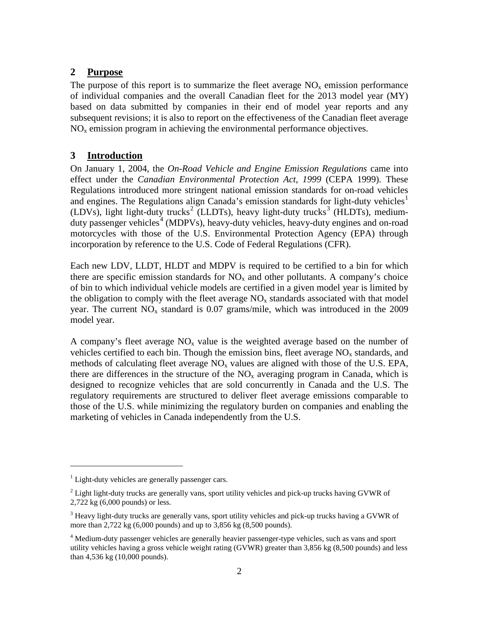#### <span id="page-5-0"></span>**2 Purpose**

The purpose of this report is to summarize the fleet average  $NO<sub>x</sub>$  emission performance of individual companies and the overall Canadian fleet for the 2013 model year (MY) based on data submitted by companies in their end of model year reports and any subsequent revisions; it is also to report on the effectiveness of the Canadian fleet average  $NO<sub>x</sub>$  emission program in achieving the environmental performance objectives.

#### <span id="page-5-1"></span>**3 Introduction**

On January 1, 2004, the *On-Road Vehicle and Engine Emission Regulations* came into effect under the *Canadian Environmental Protection Act, 1999* (CEPA 1999). These Regulations introduced more stringent national emission standards for on-road vehicles and engines. The Regulations align Canada's emission standards for light-duty vehicles<sup>[1](#page-5-2)</sup> (LDVs), light light-duty trucks<sup>[2](#page-5-3)</sup> (LLDTs), heavy light-duty trucks<sup>[3](#page-5-4)</sup> (HLDTs), medium-duty passenger vehicles<sup>[4](#page-5-5)</sup> (MDPVs), heavy-duty vehicles, heavy-duty engines and on-road motorcycles with those of the U.S. Environmental Protection Agency (EPA) through incorporation by reference to the U.S. Code of Federal Regulations (CFR).

Each new LDV, LLDT, HLDT and MDPV is required to be certified to a bin for which there are specific emission standards for  $NO<sub>x</sub>$  and other pollutants. A company's choice of bin to which individual vehicle models are certified in a given model year is limited by the obligation to comply with the fleet average  $NO<sub>x</sub>$  standards associated with that model year. The current  $NO<sub>x</sub>$  standard is 0.07 grams/mile, which was introduced in the 2009 model year.

A company's fleet average  $NO<sub>x</sub>$  value is the weighted average based on the number of vehicles certified to each bin. Though the emission bins, fleet average  $NO<sub>x</sub>$  standards, and methods of calculating fleet average  $NO<sub>x</sub>$  values are aligned with those of the U.S. EPA, there are differences in the structure of the  $NO<sub>x</sub>$  averaging program in Canada, which is designed to recognize vehicles that are sold concurrently in Canada and the U.S. The regulatory requirements are structured to deliver fleet average emissions comparable to those of the U.S. while minimizing the regulatory burden on companies and enabling the marketing of vehicles in Canada independently from the U.S.

 $\overline{a}$ 

<span id="page-5-2"></span> $1$  Light-duty vehicles are generally passenger cars.

<span id="page-5-3"></span> $2^2$  Light light-duty trucks are generally vans, sport utility vehicles and pick-up trucks having GVWR of 2,722 kg (6,000 pounds) or less.

<span id="page-5-4"></span><sup>&</sup>lt;sup>3</sup> Heavy light-duty trucks are generally vans, sport utility vehicles and pick-up trucks having a GVWR of more than 2,722 kg (6,000 pounds) and up to 3,856 kg (8,500 pounds).

<span id="page-5-5"></span><sup>&</sup>lt;sup>4</sup> Medium-duty passenger vehicles are generally heavier passenger-type vehicles, such as vans and sport utility vehicles having a gross vehicle weight rating (GVWR) greater than 3,856 kg (8,500 pounds) and less than 4,536 kg (10,000 pounds).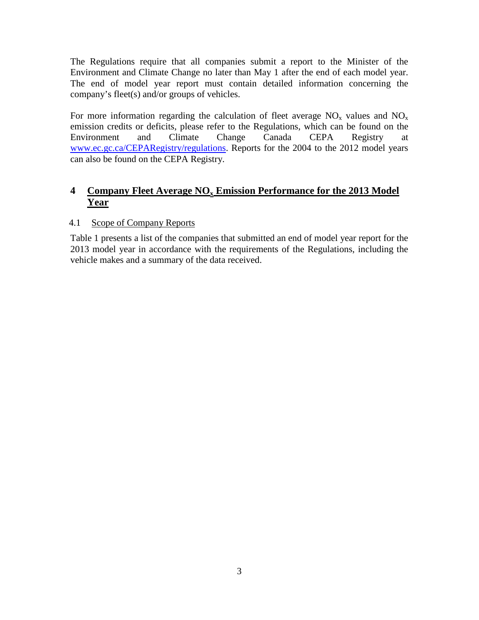The Regulations require that all companies submit a report to the Minister of the Environment and Climate Change no later than May 1 after the end of each model year. The end of model year report must contain detailed information concerning the company's fleet(s) and/or groups of vehicles.

For more information regarding the calculation of fleet average  $NO<sub>x</sub>$  values and  $NO<sub>x</sub>$ emission credits or deficits, please refer to the Regulations, which can be found on the Environment and Climate Change Canada CEPA Registry at [www.ec.gc.ca/CEPARegistry/regulations.](http://www.ec.gc.ca/CEPARegistry/regulations) Reports for the 2004 to the 2012 model years can also be found on the CEPA Registry.

### <span id="page-6-0"></span>**4 Company Fleet Average NOx Emission Performance for the 2013 Model Year**

#### <span id="page-6-1"></span>4.1 Scope of Company Reports

Table 1 presents a list of the companies that submitted an end of model year report for the 2013 model year in accordance with the requirements of the Regulations, including the vehicle makes and a summary of the data received.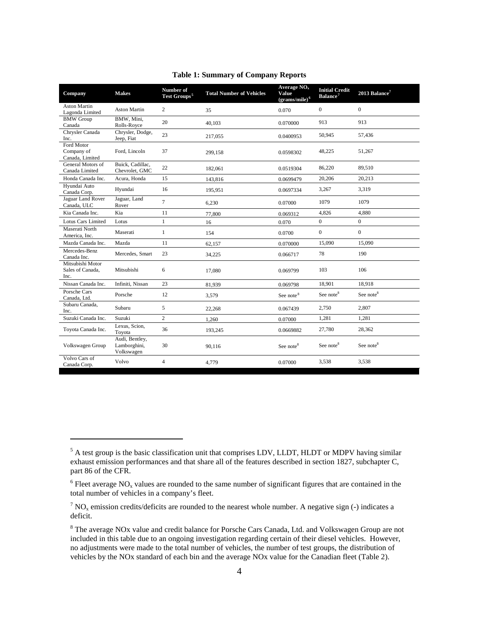<span id="page-7-0"></span>

| Company                                      | <b>Makes</b>                                 | Number of<br>Test Groups <sup>5</sup> | <b>Total Number of Vehicles</b> | Average $NOx$<br><b>Value</b><br>$(grams/mile)^6$ | <b>Initial Credit</b><br>Balance <sup>7</sup> | 2013 Balance <sup>7</sup> |
|----------------------------------------------|----------------------------------------------|---------------------------------------|---------------------------------|---------------------------------------------------|-----------------------------------------------|---------------------------|
| <b>Aston Martin</b><br>Lagonda Limited       | <b>Aston Martin</b>                          | $\overline{2}$                        | 35                              | 0.070                                             | $\mathbf{0}$                                  | $\mathbf{0}$              |
| <b>BMW</b> Group<br>Canada                   | BMW, Mini.<br>Rolls-Royce                    | 20                                    | 40.103                          | 0.070000                                          | 913                                           | 913                       |
| Chrysler Canada<br>Inc.                      | Chrysler, Dodge,<br>Jeep, Fiat               | 23                                    | 217,055                         | 0.0400953                                         | 50,945                                        | 57,436                    |
| Ford Motor<br>Company of<br>Canada, Limited  | Ford, Lincoln                                | 37                                    | 299,158                         | 0.0598302                                         | 48,225                                        | 51,267                    |
| General Motors of<br>Canada Limited          | Buick, Cadillac,<br>Chevrolet, GMC           | 22                                    | 182.061                         | 0.0519304                                         | 86,220                                        | 89.510                    |
| Honda Canada Inc.                            | Acura, Honda                                 | 15                                    | 143,816                         | 0.0699479                                         | 20,206                                        | 20,213                    |
| Hvundai Auto<br>Canada Corp.                 | Hyundai                                      | 16                                    | 195,951                         | 0.0697334                                         | 3,267                                         | 3,319                     |
| Jaguar Land Rover<br>Canada, ULC             | Jaguar, Land<br>Rover                        | $\tau$                                | 6.230                           | 0.07000                                           | 1079                                          | 1079                      |
| Kia Canada Inc.                              | Kia                                          | 11                                    | 77,800                          | 0.069312                                          | 4,826                                         | 4,880                     |
| Lotus Cars Limited                           | Lotus                                        | $\mathbf{1}$                          | 16                              | 0.070                                             | $\boldsymbol{0}$                              | $\mathbf{0}$              |
| Maserati North<br>America, Inc.              | Maserati                                     | $\mathbf{1}$                          | 154                             | 0.0700                                            | $\boldsymbol{0}$                              | $\mathbf{0}$              |
| Mazda Canada Inc.                            | Mazda                                        | 11                                    | 62,157                          | 0.070000                                          | 15,090                                        | 15,090                    |
| Mercedes-Benz<br>Canada Inc.                 | Mercedes, Smart                              | 23                                    | 34.225                          | 0.066717                                          | 78                                            | 190                       |
| Mitsubishi Motor<br>Sales of Canada,<br>Inc. | Mitsubishi                                   | 6                                     | 17,080                          | 0.069799                                          | 103                                           | 106                       |
| Nissan Canada Inc.                           | Infiniti, Nissan                             | 23                                    | 81,939                          | 0.069798                                          | 18,901                                        | 18,918                    |
| Porsche Cars<br>Canada, Ltd.                 | Porsche                                      | 12                                    | 3,579                           | See note <sup>8</sup>                             | See note <sup>8</sup>                         | See note <sup>8</sup>     |
| Subaru Canada,<br>Inc.                       | Subaru                                       | 5                                     | 22,268                          | 0.067439                                          | 2,750                                         | 2,807                     |
| Suzuki Canada Inc.                           | Suzuki                                       | $\overline{2}$                        | 1,260                           | 0.07000                                           | 1,281                                         | 1,281                     |
| Toyota Canada Inc.                           | Lexus, Scion,<br>Toyota                      | 36                                    | 193,245                         | 0.0669882                                         | 27,780                                        | 28,362                    |
| Volkswagen Group                             | Audi, Bentley,<br>Lamborghini,<br>Volkswagen | 30                                    | 90,116                          | See note <sup>8</sup>                             | See note <sup>8</sup>                         | See note <sup>8</sup>     |
| Volvo Cars of<br>Canada Corp.                | Volvo                                        | $\overline{4}$                        | 4,779                           | 0.07000                                           | 3,538                                         | 3,538                     |

#### **Table 1: Summary of Company Reports**

 $\overline{a}$ 

<span id="page-7-1"></span><sup>&</sup>lt;sup>5</sup> A test group is the basic classification unit that comprises LDV, LLDT, HLDT or MDPV having similar exhaust emission performances and that share all of the features described in section 1827, subchapter C, part 86 of the CFR.

<span id="page-7-2"></span> $6$  Fleet average NO<sub>x</sub> values are rounded to the same number of significant figures that are contained in the total number of vehicles in a company's fleet.

<span id="page-7-3"></span> $7 \text{ NO}_x$  emission credits/deficits are rounded to the nearest whole number. A negative sign (-) indicates a deficit.

<span id="page-7-4"></span><sup>&</sup>lt;sup>8</sup> The average NOx value and credit balance for Porsche Cars Canada, Ltd. and Volkswagen Group are not included in this table due to an ongoing investigation regarding certain of their diesel vehicles. However, no adjustments were made to the total number of vehicles, the number of test groups, the distribution of vehicles by the NOx standard of each bin and the average NOx value for the Canadian fleet (Table 2).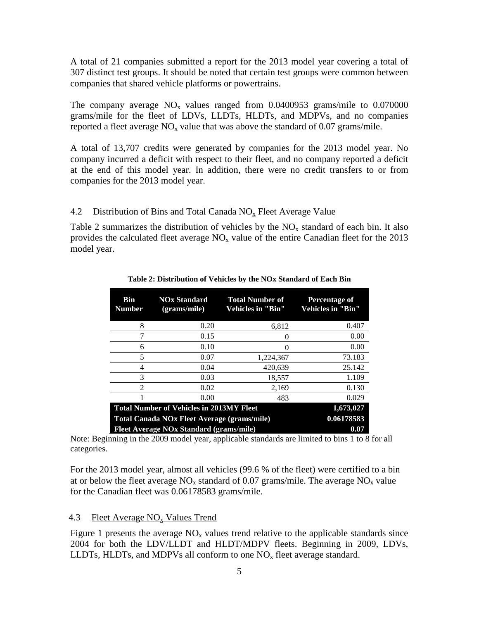A total of 21 companies submitted a report for the 2013 model year covering a total of 307 distinct test groups. It should be noted that certain test groups were common between companies that shared vehicle platforms or powertrains.

The company average  $NO<sub>x</sub>$  values ranged from 0.0400953 grams/mile to 0.070000 grams/mile for the fleet of LDVs, LLDTs, HLDTs, and MDPVs, and no companies reported a fleet average  $NO<sub>x</sub>$  value that was above the standard of 0.07 grams/mile.

A total of 13,707 credits were generated by companies for the 2013 model year. No company incurred a deficit with respect to their fleet, and no company reported a deficit at the end of this model year. In addition, there were no credit transfers to or from companies for the 2013 model year.

#### <span id="page-8-0"></span>4.2 Distribution of Bins and Total Canada  $NO<sub>x</sub>$  Fleet Average Value

<span id="page-8-2"></span>Table 2 summarizes the distribution of vehicles by the  $NO<sub>x</sub>$  standard of each bin. It also provides the calculated fleet average  $NO<sub>x</sub>$  value of the entire Canadian fleet for the 2013 model year.

| <b>Bin</b><br><b>Number</b>                     | <b>NOx Standard</b><br>(grams/mile) | <b>Total Number of</b><br><b>Vehicles in "Bin"</b> | <b>Percentage of</b><br><b>Vehicles in "Bin"</b> |
|-------------------------------------------------|-------------------------------------|----------------------------------------------------|--------------------------------------------------|
| 8                                               | 0.20                                | 6,812                                              | 0.407                                            |
| 7                                               | 0.15                                | 0                                                  | 0.00                                             |
| 6                                               | 0.10                                | 0                                                  | 0.00                                             |
| 5                                               | 0.07                                | 1,224,367                                          | 73.183                                           |
| 4                                               | 0.04                                | 420.639                                            | 25.142                                           |
| 3                                               | 0.03                                | 18,557                                             | 1.109                                            |
| $\overline{2}$                                  | 0.02                                | 2,169                                              | 0.130                                            |
|                                                 | 0.00                                | 483                                                | 0.029                                            |
| <b>Total Number of Vehicles in 2013MY Fleet</b> | 1,673,027                           |                                                    |                                                  |
| Total Canada NOx Fleet Average (grams/mile)     | 0.06178583                          |                                                    |                                                  |
| <b>Fleet Average NOx Standard (grams/mile)</b>  | 0.07                                |                                                    |                                                  |

**Table 2: Distribution of Vehicles by the NOx Standard of Each Bin**

Note: Beginning in the 2009 model year, applicable standards are limited to bins 1 to 8 for all categories.

For the 2013 model year, almost all vehicles (99.6 % of the fleet) were certified to a bin at or below the fleet average  $NO_x$  standard of 0.07 grams/mile. The average  $NO_x$  value for the Canadian fleet was 0.06178583 grams/mile.

#### <span id="page-8-1"></span>4.3 Fleet Average  $NO<sub>x</sub>$  Values Trend

Figure 1 presents the average  $NO<sub>x</sub>$  values trend relative to the applicable standards since 2004 for both the LDV/LLDT and HLDT/MDPV fleets. Beginning in 2009, LDVs, LLDTs, HLDTs, and MDPVs all conform to one  $NO<sub>x</sub>$  fleet average standard.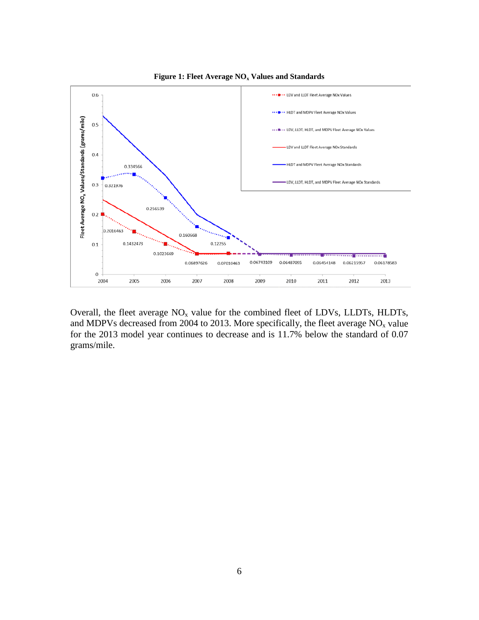<span id="page-9-0"></span>

**Figure 1: Fleet Average NOx Values and Standards**

Overall, the fleet average  $NO<sub>x</sub>$  value for the combined fleet of LDVs, LLDTs, HLDTs, and MDPVs decreased from 2004 to 2013. More specifically, the fleet average  $NO<sub>x</sub>$  value for the 2013 model year continues to decrease and is 11.7% below the standard of 0.07 grams/mile.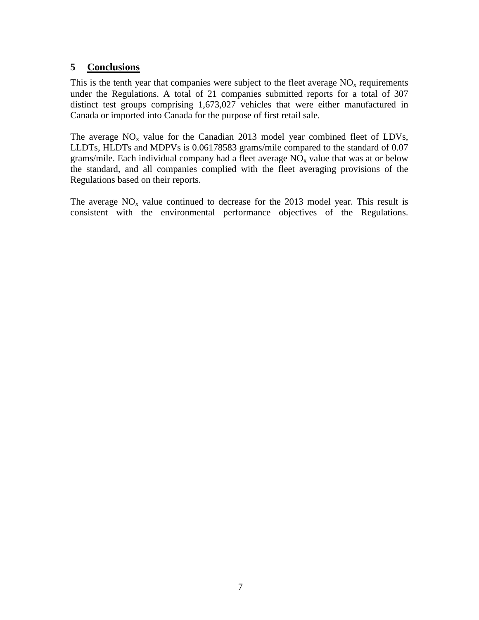#### <span id="page-10-0"></span>**5 Conclusions**

This is the tenth year that companies were subject to the fleet average  $NO<sub>x</sub>$  requirements under the Regulations. A total of 21 companies submitted reports for a total of 307 distinct test groups comprising 1,673,027 vehicles that were either manufactured in Canada or imported into Canada for the purpose of first retail sale.

The average  $NO<sub>x</sub>$  value for the Canadian 2013 model year combined fleet of LDVs, LLDTs, HLDTs and MDPVs is 0.06178583 grams/mile compared to the standard of 0.07 grams/mile. Each individual company had a fleet average  $NO<sub>x</sub>$  value that was at or below the standard, and all companies complied with the fleet averaging provisions of the Regulations based on their reports.

The average  $NO<sub>x</sub>$  value continued to decrease for the 2013 model year. This result is consistent with the environmental performance objectives of the Regulations.